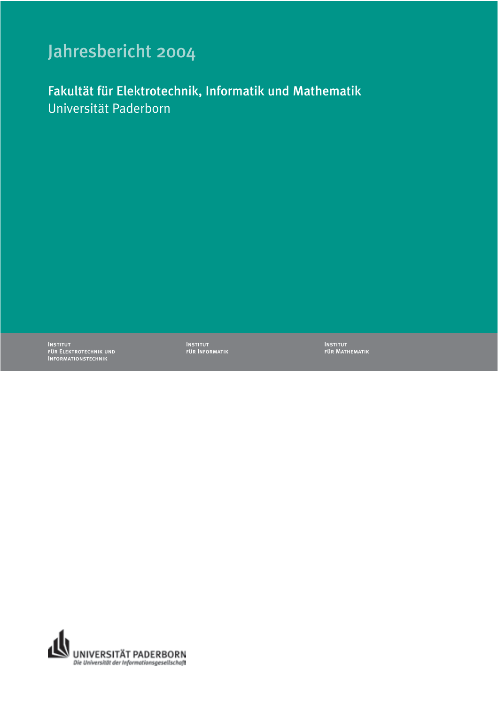# Jahresbericht 2004

Fakultät für Elektrotechnik, Informatik und Mathematik Universität Paderborn

Institut für Elektrotechnik und Informationstechnik

Institut für Informatik Institut für Mathematik

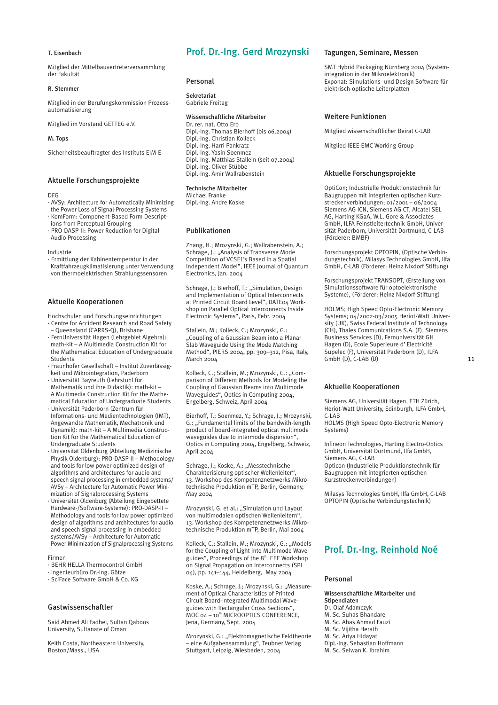#### T. Eisenbach

Mitglied der Mittelbauvertreterversammlung der Fakultät

#### R. Stemmer

Mitglied in der Berufungskommission Prozessautomatisierung

Mitglied im Vorstand GETTEG e.V.

#### M. Tops

Sicherheitsbeauftragter des Instituts EIM-E

## Aktuelle Forschungsprojekte

DFG

- · AVSy: Architecture for Automatically Minimizing
- the Power Loss of Signal-Processing Systems
- · KomForm: Component-Based Form Descript-
- ions from Perceptual Grouping
- · PRO-DASP-II: Power Reduction for Digital Audio Processing

Industrie

· Ermittlung der Kabinentemperatur in der Kraftfahrzeugklimatisierung unter Verwendung von thermoelektrischen Strahlungssensoren

#### Aktuelle Kooperationen

Hochschulen und Forschungseinrichtungen

- · Centre for Accident Research and Road Safety – Queensland (CARRS-Q), Brisbane
- · FernUniversität Hagen (Lehrgebiet Algebra): math-kit – A Multimedia Construction Kit for the Mathematical Education of Undergraduate
- **Students** · Fraunhofer Gesellschaft – Institut Zuverlässig-
- keit und Mikrointegration, Paderborn · Universität Bayreuth (Lehrstuhl für
- Mathematik und ihre Didaktik): math-kit A Multimedia Construction Kit for the Mathematical Education of Undergraduate Students
- · Universität Paderborn (Zentrum für Informations- und Medientechnologien (IMT), Angewandte Mathematik, Mechatronik und
- Dynamik): math-kit A Multimedia Construction Kit for the Mathematical Education of Undergraduate Students
- · Universität Oldenburg (Abteilung Medizinische Physik Oldenburg): PRO-DASP-II – Methodology and tools for low power optimized design of algorithms and architectures for audio and speech signal processing in embedded systems/ AVSy – Architecture for Automatic Power Minimization of Signalprocessing Systems
- · Universität Oldenburg (Abteilung Eingebettete Hardware-/Software-Systeme): PRO-DASP-II – Methodology and tools for low power optimized design of algorithms and architectures for audio and speech signal processing in embedded systems/AVSy – Architecture for Automatic Power Minimization of Signalprocessing Systems

#### Firmen

- · BEHR HELLA Thermocontrol GmbH
- · Ingenieurbüro Dr.-Ing. Götze
- · SciFace Software GmbH & Co. KG

## Gastwissenschaftler

Said Ahmed Ali Fadhel, Sultan Qaboos University, Sultanate of Oman

Keith Costa, Northeastern University, Boston/Mass., USA

# Prof. Dr.-Ing. Gerd Mrozynski

#### Personal

Sekretariat Gabriele Freitag

#### Wissenschaftliche Mitarbeiter

Dr. rer. nat. Otto Erb Dipl.-Ing. Thomas Bierhoff (bis 06.2004) Dipl.-Ing. Christian Kolleck Dipl.-Ing. Harri Pankratz Dipl.-Ing. Yasin Soenmez Dipl.-Ing. Matthias Stallein (seit 07.2004) Dipl.-Ing. Oliver Stübbe Dipl.-Ing. Amir Wallrabenstein

#### Technische Mitarbeiter

Michael Franke Dipl.-Ing. Andre Koske

#### Publikationen

Zhang, H.; Mrozynski, G.; Wallrabenstein, A.; Schrage, J.: "Analysis of Transverse Mode Competition of VCSEL's Based in a Spatial Independent Model", IEEE Journal of Quantum Electronics, Jan. 2004

Schrage, J.: Bierhoff, T.: "Simulation, Design and Implementation of Optical Interconnects at Printed Circuit Board Level", DATE04 Workshop on Parallel Optical Interconnects Inside Electronic Systems", Paris, Febr. 2004

Stallein, M.; Kolleck, C.; Mrozynski, G.: "Coupling of a Gaussian Beam into a Planar Slab Waveguide Using the Mode Matching Method", PIERS 2004, pp. 309–312, Pisa, Italy, March 2004

Kolleck, C.; Stallein, M.; Mrozynski, G.: "Comparison of Different Methods for Modeling the Coupling of Gaussian Beams into Multimode Waveguides", Optics in Computing 2004, Engelberg, Schweiz, April 2004

Bierhoff, T.; Soenmez, Y.; Schrage, J.; Mrozynski, G.: "Fundamental limits of the bandwith-length product of board-integrated optical multimode waveguides due to intermode dispersion", Optics in Computing 2004, Engelberg, Schweiz, April 2004

Schrage, J.; Koske, A.: "Messtechnische Charakterisierung optischer Wellenleiter", 13. Workshop des Kompetenznetzwerks Mikrotechnische Produktion mTP, Berlin, Germany, May 2004

Mrozynski, G. et al.: "Simulation und Layout von multimodalen optischen Wellenleitern", 13. Workshop des Kompetenznetzwerks Mikrotechnische Produktion mTP, Berlin, Mai 2004

Kolleck, C.; Stallein, M.; Mrozynski, G.: "Models for the Coupling of Light into Multimode Waveguides", Proceedings of the 8th IEEE Workshop on Signal Propagation on Interconnects (SPI 04), pp. 141–144, Heidelberg, May 2004

Koske, A.; Schrage, J.; Mrozynski, G.: "Measurement of Optical Characteristics of Printed Circuit Board-Integrated Multimodal Waveguides with Rectangular Cross Sections",  $MOC$   $O4 - 10^{th}$  MICROOPTICS CONFERENCE, Jena, Germany, Sept. 2004

Mrozynski, G.: "Elektromagnetische Feldtheorie – eine Aufgabensammlung", Teubner Verlag Stuttgart, Leipzig, Wiesbaden, 2004

## Tagungen, Seminare, Messen

SMT Hybrid Packaging Nürnberg 2004 (Systemintegration in der Mikroelektronik) Exponat: Simulations- und Design Software für elektrisch-optische Leiterplatten

#### Weitere Funktionen

Mitglied wissenschaftlicher Beirat C-LAB

Mitglied IEEE-EMC Working Group

#### Aktuelle Forschungsprojekte

OptiCon; Industrielle Produktionstechnik für Baugruppen mit integrierten optischen Kurzstreckenverbindungen; 01/2001 – 06/2004 Siemens AG ICN, Siemens AG CT, Alcatel SEL AG, Harting KGaA, W.L. Gore & Associates GmbH, ILFA Feinstleitertechnik GmbH, Universität Paderborn, Universität Dortmund, C-LAB (Förderer: BMBF)

Forschungsprojekt OPTOPIN, (Optische Verbindungstechnik), Milasys Technologies GmbH, Ilfa GmbH, C-LAB (Förderer: Heinz Nixdorf Stiftung)

Forschungsprojekt TRANSOPT, (Erstellung von Simulationssoftware für optoelektronische Systeme), (Förderer: Heinz Nixdorf-Stiftung)

HOLMS; High Speed Opto-Electronic Memory Systems; 04/2002-03/2005 Heriot-Watt University (UK), Swiss Federal Institute of Technology (CH), Thales Communications S.A. (F), Siemens Business Services (D), Fernuniversität GH Hagen (D), Ecole Superieure d' Electricité Supelec (F), Universität Paderborn (D), ILFA GmbH (D), C-LAB (D)

#### Aktuelle Kooperationen

Siemens AG, Universität Hagen, ETH Zürich, Heriot-Watt University, Edinburgh, ILFA GmbH, C-LAB

HOLMS (High Speed Opto-Electronic Memory Systems)

Infineon Technologies, Harting Electro-Optics GmbH, Universität Dortmund, Ilfa GmbH, Siemens AG, C-LAB Opticon (Industrielle Produktionstechnik für Baugruppen mit integrierten optischen

Kurzstreckenverbindungen)

Milasys Technologies GmbH, Ilfa GmbH, C-LAB OPTOPIN (Optische Verbindungstechnik)

## Prof. Dr.-Ing. Reinhold Noé

## Personal

Wissenschaftliche Mitarbeiter und Stipendiaten Dr. Olaf Adamczyk M. Sc. Suhas Bhandare M. Sc. Abas Ahmad Fauzi M. Sc. Vijitha Herath M. Sc. Ariya Hidayat Dipl.-Ing. Sebastian Hoffmann M. Sc. Selwan K. Ibrahim